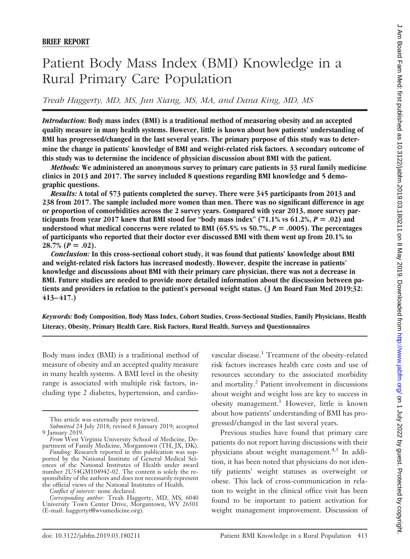# Patient Body Mass Index (BMI) Knowledge in a Rural Primary Care Population

*Treah Haggerty, MD, MS, Jun Xiang, MS, MA, and Dana King, MD, MS*

*Introduction:* **Body mass index (BMI) is a traditional method of measuring obesity and an accepted quality measure in many health systems. However, little is known about how patients' understanding of BMI has progressed/changed in the last several years. The primary purpose of this study was to determine the change in patients' knowledge of BMI and weight-related risk factors. A secondary outcome of this study was to determine the incidence of physician discussion about BMI with the patient.**

*Methods:* **We administered an anonymous survey to primary care patients in 33 rural family medicine clinics in 2013 and 2017. The survey included 8 questions regarding BMI knowledge and 5 demographic questions.**

*Results:* **A total of 573 patients completed the survey. There were 345 participants from 2013 and 238 from 2017. The sample included more women than men. There was no significant difference in age or proportion of comorbidities across the 2 survey years. Compared with year 2013, more survey par**ticipants from year 2017 knew that BMI stood for "body mass index"  $(71.1\% \text{ vs } 61.2\%, P = .02)$  and **understood what medical concerns were related to BMI (65.5% vs 50.7%,** *P* - **.0005). The percentages of participants who reported that their doctor ever discussed BMI with them went up from 20.1% to**  $28.7\%$   $(P=.02)$ .

*Conclusion:* **In this cross-sectional cohort study, it was found that patients' knowledge about BMI and weight-related risk factors has increased modestly. However, despite the increase in patients' knowledge and discussions about BMI with their primary care physician, there was not a decrease in BMI. Future studies are needed to provide more detailed information about the discussion between patients and providers in relation to the patient's personal weight status. (J Am Board Fam Med 2019;32: 413–417.)**

*Keywords:* **Body Composition, Body Mass Index, Cohort Studies, Cross-Sectional Studies, Family Physicians, Health Literacy, Obesity, Primary Health Care, Risk Factors, Rural Health, Surveys and Questionnaires**

Body mass index (BMI) is a traditional method of measure of obesity and an accepted quality measure in many health systems. A BMI level in the obesity range is associated with multiple risk factors, including type 2 diabetes, hypertension, and cardiovascular disease.<sup>1</sup> Treatment of the obesity-related risk factors increases health care costs and use of resources secondary to the associated morbidity and mortality.<sup>2</sup> Patient involvement in discussions about weight and weight loss are key to success in obesity management.3 However, little is known about how patients' understanding of BMI has progressed/changed in the last several years.

Previous studies have found that primary care patients do not report having discussions with their physicians about weight management.<sup>4,5</sup> In addition, it has been noted that physicians do not identify patients' weight statuses as overweight or obese. This lack of cross-communication in relation to weight in the clinical office visit has been found to be important to patient activation for weight management improvement. Discussion of

This article was externally peer reviewed.

*Submitted* 24 July 2018; revised 6 January 2019; accepted 9 January 2019.

*From* West Virginia University School of Medicine, Department of Family Medicine, Morgantown (TH, JX, DK).

*Funding:* Research reported in this publication was supported by the National Institute of General Medical Sciences of the National Institutes of Health under award number 2U54GM104942-02. The content is solely the responsibility of the authors and does not necessarily represent the official views of the National Institutes of Health.

*Conflict of interest:* none declared.

*Corresponding author:* Treah Haggerty, MD, MS, 6040 University Town Center Drive, Morgantown, WV 26501 -E-mail: haggertyt@wvumedicine.org).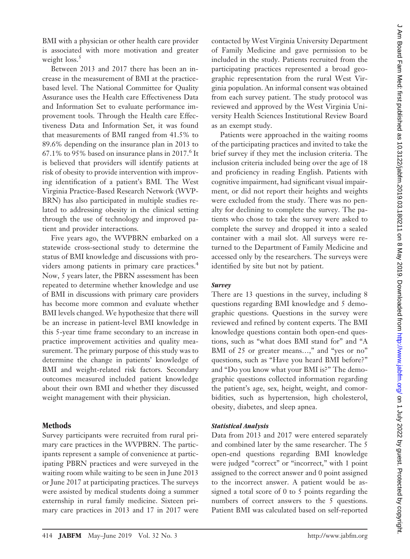BMI with a physician or other health care provider is associated with more motivation and greater weight  $loss.<sup>5</sup>$ 

Between 2013 and 2017 there has been an increase in the measurement of BMI at the practicebased level. The National Committee for Quality Assurance uses the Health care Effectiveness Data and Information Set to evaluate performance improvement tools. Through the Health care Effectiveness Data and Information Set, it was found that measurements of BMI ranged from 41.5% to 89.6% depending on the insurance plan in 2013 to  $67.1\%$  to 95% based on insurance plans in 2017.<sup>6</sup> It is believed that providers will identify patients at risk of obesity to provide intervention with improving identification of a patient's BMI. The West Virginia Practice-Based Research Network (WVP-BRN) has also participated in multiple studies related to addressing obesity in the clinical setting through the use of technology and improved patient and provider interactions.

Five years ago, the WVPBRN embarked on a statewide cross-sectional study to determine the status of BMI knowledge and discussions with providers among patients in primary care practices.<sup>4</sup> Now, 5 years later, the PBRN assessment has been repeated to determine whether knowledge and use of BMI in discussions with primary care providers has become more common and evaluate whether BMI levels changed. We hypothesize that there will be an increase in patient-level BMI knowledge in this 5-year time frame secondary to an increase in practice improvement activities and quality measurement. The primary purpose of this study was to determine the change in patients' knowledge of BMI and weight-related risk factors. Secondary outcomes measured included patient knowledge about their own BMI and whether they discussed weight management with their physician.

## **Methods**

Survey participants were recruited from rural primary care practices in the WVPBRN. The participants represent a sample of convenience at participating PBRN practices and were surveyed in the waiting room while waiting to be seen in June 2013 or June 2017 at participating practices. The surveys were assisted by medical students doing a summer externship in rural family medicine. Sixteen primary care practices in 2013 and 17 in 2017 were

contacted by West Virginia University Department of Family Medicine and gave permission to be included in the study. Patients recruited from the participating practices represented a broad geographic representation from the rural West Virginia population. An informal consent was obtained from each survey patient. The study protocol was reviewed and approved by the West Virginia University Health Sciences Institutional Review Board as an exempt study.

Patients were approached in the waiting rooms of the participating practices and invited to take the brief survey if they met the inclusion criteria. The inclusion criteria included being over the age of 18 and proficiency in reading English. Patients with cognitive impairment, had significant visual impairment, or did not report their heights and weights were excluded from the study. There was no penalty for declining to complete the survey. The patients who chose to take the survey were asked to complete the survey and dropped it into a sealed container with a mail slot. All surveys were returned to the Department of Family Medicine and accessed only by the researchers. The surveys were identified by site but not by patient.

## *Survey*

There are 13 questions in the survey, including 8 questions regarding BMI knowledge and 5 demographic questions. Questions in the survey were reviewed and refined by content experts. The BMI knowledge questions contain both open-end questions, such as "what does BMI stand for" and "A BMI of 25 or greater means...," and "yes or no" questions, such as "Have you heard BMI before?" and "Do you know what your BMI is?" The demographic questions collected information regarding the patient's age, sex, height, weight, and comorbidities, such as hypertension, high cholesterol, obesity, diabetes, and sleep apnea.

## *Statistical Analysis*

Data from 2013 and 2017 were entered separately and combined later by the same researcher. The 5 open-end questions regarding BMI knowledge were judged "correct" or "incorrect," with 1 point assigned to the correct answer and 0 point assigned to the incorrect answer. A patient would be assigned a total score of 0 to 5 points regarding the numbers of correct answers to the 5 questions. Patient BMI was calculated based on self-reported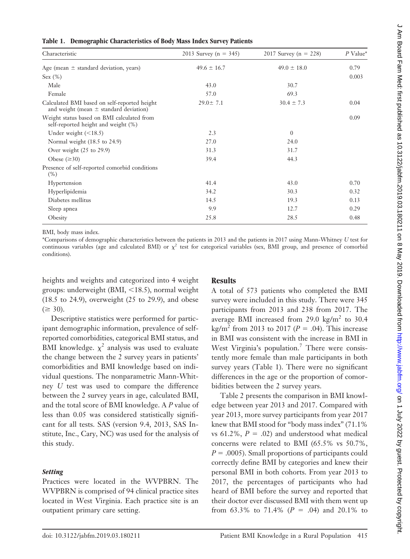| $\sim$                                                                                     |                          |                       |            |  |  |
|--------------------------------------------------------------------------------------------|--------------------------|-----------------------|------------|--|--|
| Characteristic                                                                             | 2013 Survey (n = $345$ ) | 2017 Survey (n = 228) | $P$ Value* |  |  |
| Age (mean $\pm$ standard deviation, years)                                                 | $49.6 \pm 16.7$          | $49.0 \pm 18.0$       | 0.79       |  |  |
| Sex (%)                                                                                    |                          |                       | 0.003      |  |  |
| Male                                                                                       | 43.0                     | 30.7                  |            |  |  |
| Female                                                                                     | 57.0                     | 69.3                  |            |  |  |
| Calculated BMI based on self-reported height<br>and weight (mean $\pm$ standard deviation) | $29.0 \pm 7.1$           | $30.4 \pm 7.3$        | 0.04       |  |  |
| Weight status based on BMI calculated from<br>self-reported height and weight (%)          |                          |                       | 0.09       |  |  |
| Under weight $(<18.5)$                                                                     | 2.3                      | $\overline{0}$        |            |  |  |
| Normal weight (18.5 to 24.9)                                                               | 27.0                     | 24.0                  |            |  |  |
| Over weight $(25 \text{ to } 29.9)$                                                        | 31.3                     | 31.7                  |            |  |  |
| Obese $(\geq 30)$                                                                          | 39.4                     | 44.3                  |            |  |  |
| Presence of self-reported comorbid conditions<br>$(\% )$                                   |                          |                       |            |  |  |
| Hypertension                                                                               | 41.4                     | 43.0                  | 0.70       |  |  |
| Hyperlipidemia                                                                             | 34.2                     | 30.3                  | 0.32       |  |  |
| Diabetes mellitus                                                                          | 14.5                     | 19.3                  | 0.13       |  |  |
| Sleep apnea                                                                                | 9.9                      | 12.7                  | 0.29       |  |  |
| Obesity                                                                                    | 25.8                     | 28.5                  | 0.48       |  |  |
|                                                                                            |                          |                       |            |  |  |

#### **Table 1. Demographic Characteristics of Body Mass Index Survey Patients**

BMI, body mass index.

\*Comparisons of demographic characteristics between the patients in 2013 and the patients in 2017 using Mann-Whitney *U* test for continuous variables (age and calculated BMI) or  $\chi^2$  test for categorical variables (sex, BMI group, and presence of comorbid conditions).

heights and weights and categorized into 4 weight groups: underweight (BMI,  $\langle 18.5 \rangle$ , normal weight (18.5 to 24.9), overweight (25 to 29.9), and obese  $(\geq 30).$ 

Descriptive statistics were performed for participant demographic information, prevalence of selfreported comorbidities, categorical BMI status, and BMI knowledge.  $\chi^2$  analysis was used to evaluate the change between the 2 survey years in patients' comorbidities and BMI knowledge based on individual questions. The nonparametric Mann-Whitney *U* test was used to compare the difference between the 2 survey years in age, calculated BMI, and the total score of BMI knowledge. A *P* value of less than 0.05 was considered statistically significant for all tests. SAS (version 9.4, 2013, SAS Institute, Inc., Cary, NC) was used for the analysis of this study.

## *Setting*

Practices were located in the WVPBRN. The WVPBRN is comprised of 94 clinical practice sites located in West Virginia. Each practice site is an outpatient primary care setting.

# **Results**

A total of 573 patients who completed the BMI survey were included in this study. There were 345 participants from 2013 and 238 from 2017. The average BMI increased from 29.0  $\text{kg/m}^2$  to 30.4 kg/m<sup>2</sup> from 2013 to 2017 ( $P = .04$ ). This increase in BMI was consistent with the increase in BMI in West Virginia's population.<sup>7</sup> There were consistently more female than male participants in both survey years (Table 1). There were no significant differences in the age or the proportion of comorbidities between the 2 survey years.

Table 2 presents the comparison in BMI knowledge between year 2013 and 2017. Compared with year 2013, more survey participants from year 2017 knew that BMI stood for "body mass index" (71.1% vs 61.2%,  $P = .02$ ) and understood what medical concerns were related to BMI (65.5% vs 50.7%,  $P = .0005$ ). Small proportions of participants could correctly define BMI by categories and knew their personal BMI in both cohorts. From year 2013 to 2017, the percentages of participants who had heard of BMI before the survey and reported that their doctor ever discussed BMI with them went up from 63.3% to 71.4%  $(P = .04)$  and 20.1% to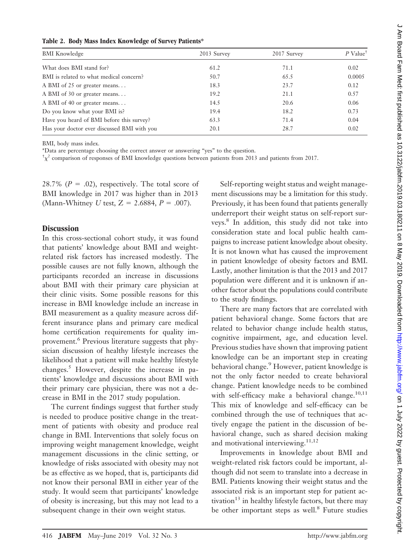|  |  |  | Table 2. Body Mass Index Knowledge of Survey Patients* |
|--|--|--|--------------------------------------------------------|
|--|--|--|--------------------------------------------------------|

| <b>BMI</b> Knowledge                        | 2013 Survey | 2017 Survey | $P$ Value <sup>†</sup> |
|---------------------------------------------|-------------|-------------|------------------------|
| What does BMI stand for?                    | 61.2        | 71.1        | 0.02                   |
| BMI is related to what medical concern?     | 50.7        | 65.5        | 0.0005                 |
| A BMI of 25 or greater means                | 18.3        | 23.7        | 0.12                   |
| A BMI of 30 or greater means                | 19.2        | 21.1        | 0.57                   |
| A BMI of 40 or greater means                | 14.5        | 20.6        | 0.06                   |
| Do you know what your BMI is?               | 19.4        | 18.2        | 0.73                   |
| Have you heard of BMI before this survey?   | 63.3        | 71.4        | 0.04                   |
| Has your doctor ever discussed BMI with you | 20.1        | 28.7        | 0.02                   |

BMI, body mass index.

\*Data are percentage choosing the correct answer or answering "yes" to the question.

<sup>†</sup> $\chi^2$  comparison of responses of BMI knowledge questions between patients from 2013 and patients from 2017.

28.7%  $(P = .02)$ , respectively. The total score of BMI knowledge in 2017 was higher than in 2013 (Mann-Whitney *U* test,  $Z = 2.6884$ ,  $P = .007$ ).

## **Discussion**

In this cross-sectional cohort study, it was found that patients' knowledge about BMI and weightrelated risk factors has increased modestly. The possible causes are not fully known, although the participants recorded an increase in discussions about BMI with their primary care physician at their clinic visits. Some possible reasons for this increase in BMI knowledge include an increase in BMI measurement as a quality measure across different insurance plans and primary care medical home certification requirements for quality improvement.<sup>6</sup> Previous literature suggests that physician discussion of healthy lifestyle increases the likelihood that a patient will make healthy lifestyle changes.5 However, despite the increase in patients' knowledge and discussions about BMI with their primary care physician, there was not a decrease in BMI in the 2017 study population.

The current findings suggest that further study is needed to produce positive change in the treatment of patients with obesity and produce real change in BMI. Interventions that solely focus on improving weight management knowledge, weight management discussions in the clinic setting, or knowledge of risks associated with obesity may not be as effective as we hoped, that is, participants did not know their personal BMI in either year of the study. It would seem that participants' knowledge of obesity is increasing, but this may not lead to a subsequent change in their own weight status.

Self-reporting weight status and weight management discussions may be a limitation for this study. Previously, it has been found that patients generally underreport their weight status on self-report surveys.8 In addition, this study did not take into consideration state and local public health campaigns to increase patient knowledge about obesity. It is not known what has caused the improvement in patient knowledge of obesity factors and BMI. Lastly, another limitation is that the 2013 and 2017 population were different and it is unknown if another factor about the populations could contribute to the study findings.

There are many factors that are correlated with patient behavioral change. Some factors that are related to behavior change include health status, cognitive impairment, age, and education level. Previous studies have shown that improving patient knowledge can be an important step in creating behavioral change.<sup>9</sup> However, patient knowledge is not the only factor needed to create behavioral change. Patient knowledge needs to be combined with self-efficacy make a behavioral change. $10,11$ This mix of knowledge and self-efficacy can be combined through the use of techniques that actively engage the patient in the discussion of behavioral change, such as shared decision making and motivational interviewing.<sup>11,12</sup>

Improvements in knowledge about BMI and weight-related risk factors could be important, although did not seem to translate into a decrease in BMI. Patients knowing their weight status and the associated risk is an important step for patient activation<sup>13</sup> in healthy lifestyle factors, but there may be other important steps as well.<sup>8</sup> Future studies